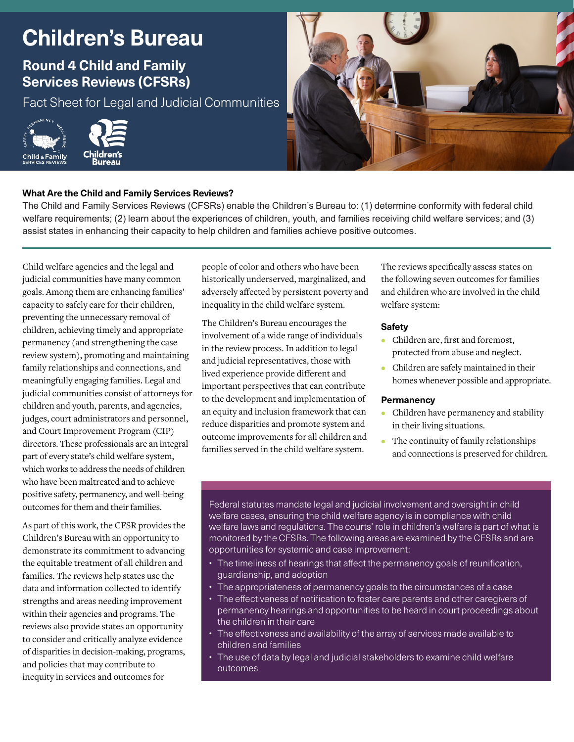# **Children's Bureau**

# **Round 4 Child and Family Services Reviews (CFSRs)**

Fact Sheet for Legal and Judicial Communities





# **What Are the Child and Family Services Reviews?**

The Child and Family Services Reviews (CFSRs) enable the Children's Bureau to: (1) determine conformity with federal child welfare requirements; (2) learn about the experiences of children, youth, and families receiving child welfare services; and (3) assist states in enhancing their capacity to help children and families achieve positive outcomes.

Child welfare agencies and the legal and judicial communities have many common goals. Among them are enhancing families' capacity to safely care for their children, preventing the unnecessary removal of children, achieving timely and appropriate permanency (and strengthening the case review system), promoting and maintaining family relationships and connections, and meaningfully engaging families. Legal and judicial communities consist of attorneys for children and youth, parents, and agencies, judges, court administrators and personnel, and Court Improvement Program (CIP) directors. These professionals are an integral part of every state's child welfare system, which works to address the needs of children who have been maltreated and to achieve positive safety, permanency, and well-being outcomes for them and their families.

As part of this work, the CFSR provides the Children's Bureau with an opportunity to demonstrate its commitment to advancing the equitable treatment of all children and families. The reviews help states use the data and information collected to identify strengths and areas needing improvement within their agencies and programs. The reviews also provide states an opportunity to consider and critically analyze evidence of disparities in decision-making, programs, and policies that may contribute to inequity in services and outcomes for

people of color and others who have been historically underserved, marginalized, and adversely afected by persistent poverty and inequality in the child welfare system.

The Children's Bureau encourages the involvement of a wide range of individuals in the review process. In addition to legal and judicial representatives, those with lived experience provide diferent and important perspectives that can contribute to the development and implementation of an equity and inclusion framework that can reduce disparities and promote system and outcome improvements for all children and families served in the child welfare system.

The reviews specifcally assess states on the following seven outcomes for families and children who are involved in the child welfare system:

### **Safety**

- Children are, frst and foremost, protected from abuse and neglect.
- Children are safely maintained in their homes whenever possible and appropriate.

#### **Permanency**

- Children have permanency and stability in their living situations.
- The continuity of family relationships and connections is preserved for children.

Federal statutes mandate legal and judicial involvement and oversight in child welfare cases, ensuring the child welfare agency is in compliance with child welfare laws and regulations. The courts' role in children's welfare is part of what is monitored by the CFSRs. The following areas are examined by the CFSRs and are opportunities for systemic and case improvement:

- The timeliness of hearings that affect the permanency goals of reunification, guardianship, and adoption
- The appropriateness of permanency goals to the circumstances of a case
- The effectiveness of notification to foster care parents and other caregivers of permanency hearings and opportunities to be heard in court proceedings about the children in their care
- The efectiveness and availability of the array of services made available to children and families
- The use of data by legal and judicial stakeholders to examine child welfare outcomes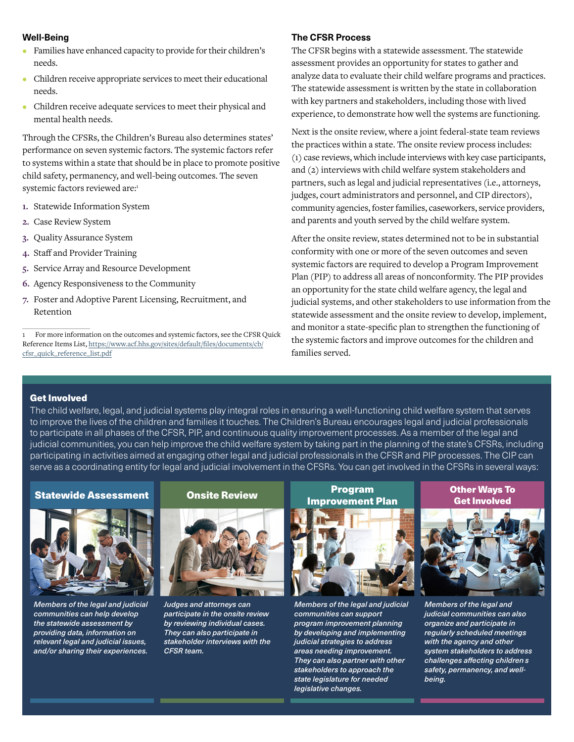#### **Well-Being**

- Families have enhanced capacity to provide for their children's needs.
- Children receive appropriate services to meet their educational needs.
- Children receive adequate services to meet their physical and mental health needs.

Through the CFSRs, the Children's Bureau also determines states' performance on seven systemic factors. The systemic factors refer to systems within a state that should be in place to promote positive child safety, permanency, and well-being outcomes. The seven systemic factors reviewed are:1

- **1.** Statewide Information System
- **2.** Case Review System
- **3.** Quality Assurance System
- **4.** Staf and Provider Training
- **5.** Service Array and Resource Development
- **6.** Agency Responsiveness to the Community
- **7.** Foster and Adoptive Parent Licensing, Recruitment, and Retention

#### **The CFSR Process**

The CFSR begins with a statewide assessment. The statewide assessment provides an opportunity for states to gather and analyze data to evaluate their child welfare programs and practices. The statewide assessment is written by the state in collaboration with key partners and stakeholders, including those with lived experience, to demonstrate how well the systems are functioning.

Next is the onsite review, where a joint federal-state team reviews the practices within a state. The onsite review process includes: (1) case reviews, which include interviews with key case participants, and (2) interviews with child welfare system stakeholders and partners, such as legal and judicial representatives (i.e., attorneys, judges, court administrators and personnel, and CIP directors), community agencies, foster families, caseworkers, service providers, and parents and youth served by the child welfare system.

After the onsite review, states determined not to be in substantial conformity with one or more of the seven outcomes and seven systemic factors are required to develop a Program Improvement Plan (PIP) to address all areas of nonconformity. The PIP provides an opportunity for the state child welfare agency, the legal and judicial systems, and other stakeholders to use information from the statewide assessment and the onsite review to develop, implement, and monitor a state-specifc plan to strengthen the functioning of the systemic factors and improve outcomes for the children and families served.

#### Get Involved

The child welfare, legal, and judicial systems play integral roles in ensuring a well-functioning child welfare system that serves to improve the lives of the children and families it touches. The Children's Bureau encourages legal and judicial professionals to participate in all phases of the CFSR, PIP, and continuous quality improvement processes. As a member of the legal and judicial communities, you can help improve the child welfare system by taking part in the planning of the state's CFSRs, including participating in activities aimed at engaging other legal and judicial professionals in the CFSR and PIP processes. The CIP can serve as a coordinating entity for legal and judicial involvement in the CFSRs. You can get involved in the CFSRs in several ways:

# Statewide Assessment



*Members of the legal and judicial communities can help develop the statewide assessment by providing data, information on relevant legal and judicial issues, and/or sharing their experiences.* 

#### Onsite Review



*Judges and attorneys can participate in the onsite review by reviewing individual cases. They can also participate in stakeholder interviews with the CFSR team.* 

Program Improvement Plan



*Members of the legal and judicial communities can support program improvement planning by developing and implementing judicial strategies to address areas needing improvement. They can also partner with other stakeholders to approach the state legislature for needed legislative changes.* 

#### Other Ways To Get Involved



*' challenges afecting children s Members of the legal and judicial communities can also organize and participate in regularly scheduled meetings with the agency and other system stakeholders to address safety, permanency, and wellbeing.* 

<sup>1</sup> For more information on the outcomes and systemic factors, see the CFSR Quick [Reference Items List, https://www.acf.hhs.gov/sites/default/fles/documents/cb/](https://www.acf.hhs.gov/sites/default/files/documents/cb/cfsr_quick_reference_list.pdf)  cfsr\_quick\_reference\_list.pdf